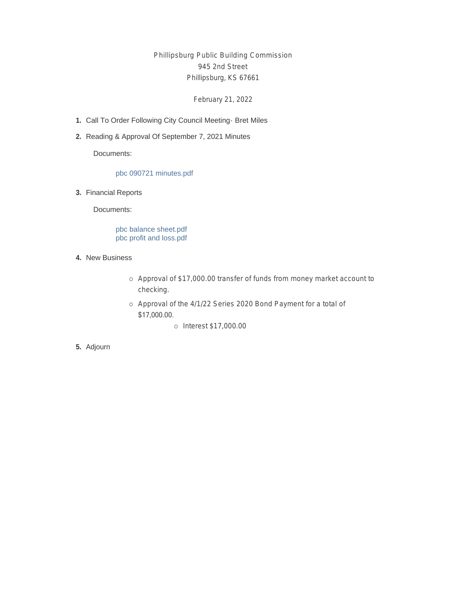Phillipsburg Public Building Commission 945 2nd Street Phillipsburg, KS 67661

February 21, 2022

- 1. Call To Order Following City Council Meeting Bret Miles
- 2. Reading & Approval Of September 7, 2021 Minutes

Documents:

#### pbc 090721 minutes.pdf

Financial Reports **3.**

Documents:

pbc balance sheet.pdf pbc profit and loss.pdf

- 4. New Business
	- o Approval of \$17,000.00 transfer of funds from money market account to checking.
	- o Approval of the 4/1/22 Series 2020 Bond Payment for a total of \$17,000.00.
		- ¡ Interest \$17,000.00

**5.** Adjourn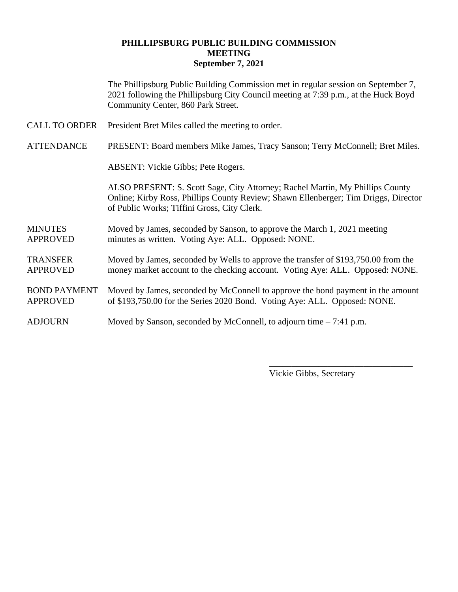### **PHILLIPSBURG PUBLIC BUILDING COMMISSION MEETING September 7, 2021**

The Phillipsburg Public Building Commission met in regular session on September 7, 2021 following the Phillipsburg City Council meeting at 7:39 p.m., at the Huck Boyd Community Center, 860 Park Street.

CALL TO ORDER President Bret Miles called the meeting to order.

ATTENDANCE PRESENT: Board members Mike James, Tracy Sanson; Terry McConnell; Bret Miles.

ABSENT: Vickie Gibbs; Pete Rogers.

ALSO PRESENT: S. Scott Sage, City Attorney; Rachel Martin, My Phillips County Online; Kirby Ross, Phillips County Review; Shawn Ellenberger; Tim Driggs, Director of Public Works; Tiffini Gross, City Clerk.

### MINUTES Moved by James, seconded by Sanson, to approve the March 1, 2021 meeting APPROVED minutes as written. Voting Aye: ALL. Opposed: NONE.

TRANSFER Moved by James, seconded by Wells to approve the transfer of \$193,750.00 from the APPROVED money market account to the checking account. Voting Aye: ALL. Opposed: NONE.

#### BOND PAYMENT Moved by James, seconded by McConnell to approve the bond payment in the amount APPROVED of \$193,750.00 for the Series 2020 Bond. Voting Aye: ALL. Opposed: NONE.

#### ADJOURN Moved by Sanson, seconded by McConnell, to adjourn time – 7:41 p.m.

Vickie Gibbs, Secretary

\_\_\_\_\_\_\_\_\_\_\_\_\_\_\_\_\_\_\_\_\_\_\_\_\_\_\_\_\_\_\_\_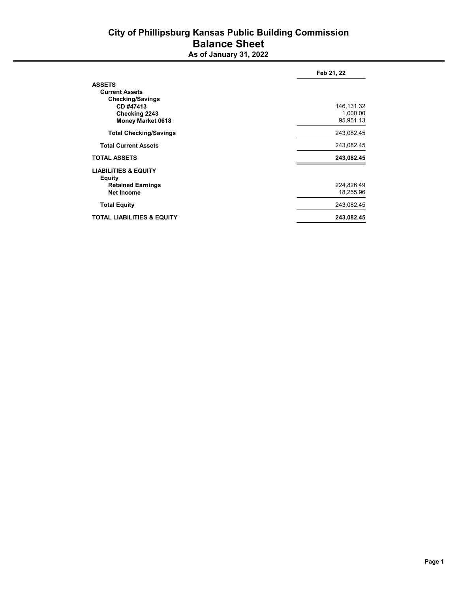# City of Phillipsburg Kansas Public Building Commission Balance Sheet

As of **January 31,** 2022

|                                                  | Feb 21, 22  |  |
|--------------------------------------------------|-------------|--|
| <b>ASSETS</b>                                    |             |  |
| <b>Current Assets</b>                            |             |  |
| <b>Checking/Savings</b>                          |             |  |
| CD #47413                                        | 146, 131.32 |  |
| Checking 2243                                    | 1,000.00    |  |
| <b>Money Market 0618</b>                         | 95,951.13   |  |
| <b>Total Checking/Savings</b>                    | 243,082.45  |  |
| <b>Total Current Assets</b>                      | 243,082.45  |  |
| <b>TOTAL ASSETS</b>                              | 243,082.45  |  |
| <b>LIABILITIES &amp; EQUITY</b><br><b>Equity</b> |             |  |
| <b>Retained Earnings</b>                         | 224,826.49  |  |
| <b>Net Income</b>                                | 18,255.96   |  |
| <b>Total Equity</b>                              | 243,082.45  |  |
| <b>TOTAL LIABILITIES &amp; EQUITY</b>            | 243,082.45  |  |